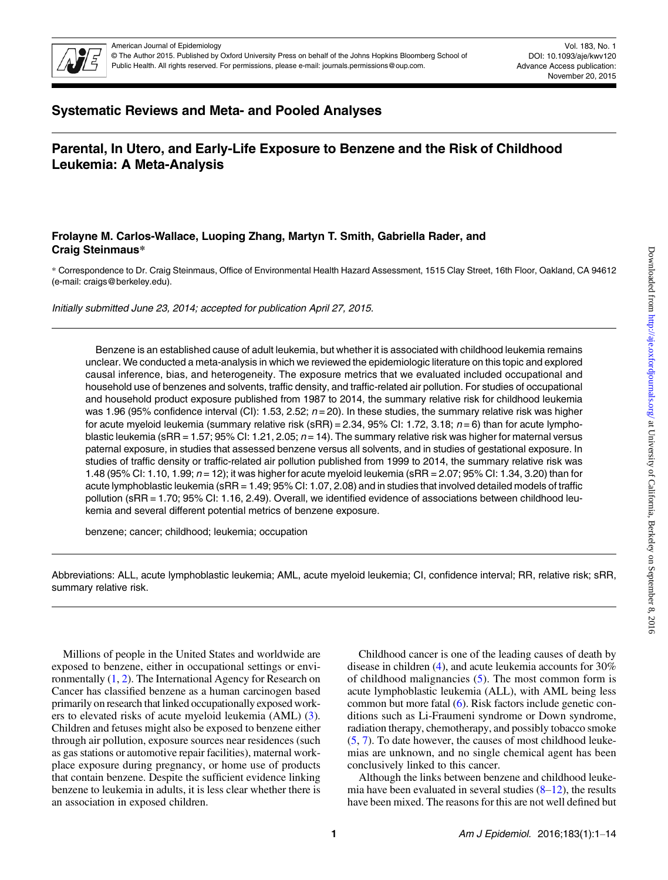

Vol. 183, No. 1 DOI: 10.1093/aje/kwv120 Advance Access publication: November 20, 2015

# Systematic Reviews and Meta- and Pooled Analyses

# Parental, In Utero, and Early-Life Exposure to Benzene and the Risk of Childhood Leukemia: A Meta-Analysis

# Frolayne M. Carlos-Wallace, Luoping Zhang, Martyn T. Smith, Gabriella Rader, and Craig Steinmaus\*

\* Correspondence to Dr. Craig Steinmaus, Office of Environmental Health Hazard Assessment, 1515 Clay Street, 16th Floor, Oakland, CA 94612 (e-mail: craigs@berkeley.edu).

Initially submitted June 23, 2014; accepted for publication April 27, 2015.

Benzene is an established cause of adult leukemia, but whether it is associated with childhood leukemia remains unclear. We conducted a meta-analysis in which we reviewed the epidemiologic literature on this topic and explored causal inference, bias, and heterogeneity. The exposure metrics that we evaluated included occupational and household use of benzenes and solvents, traffic density, and traffic-related air pollution. For studies of occupational and household product exposure published from 1987 to 2014, the summary relative risk for childhood leukemia was 1.96 (95% confidence interval (CI): 1.53, 2.52;  $n = 20$ ). In these studies, the summary relative risk was higher for acute myeloid leukemia (summary relative risk (sRR) = 2.34, 95% CI: 1.72, 3.18;  $n = 6$ ) than for acute lymphoblastic leukemia (sRR = 1.57; 95% CI: 1.21, 2.05;  $n = 14$ ). The summary relative risk was higher for maternal versus paternal exposure, in studies that assessed benzene versus all solvents, and in studies of gestational exposure. In studies of traffic density or traffic-related air pollution published from 1999 to 2014, the summary relative risk was 1.48 (95% CI: 1.10, 1.99;  $n = 12$ ); it was higher for acute myeloid leukemia (sRR = 2.07; 95% CI: 1.34, 3.20) than for acute lymphoblastic leukemia (sRR = 1.49; 95% CI: 1.07, 2.08) and in studies that involved detailed models of traffic pollution (sRR = 1.70; 95% CI: 1.16, 2.49). Overall, we identified evidence of associations between childhood leukemia and several different potential metrics of benzene exposure.

benzene; cancer; childhood; leukemia; occupation

Downloaded from http://aje.oxfordjournals.org/ at University of California, Berkeley on September 8, 2016 Downloaded from <http://aje.oxfordjournals.org/> at University of California, Berkeley on September 8, 2016

Abbreviations: ALL, acute lymphoblastic leukemia; AML, acute myeloid leukemia; CI, confidence interval; RR, relative risk; sRR, summary relative risk.

Millions of people in the United States and worldwide are exposed to benzene, either in occupational settings or environmentally  $(1, 2)$  $(1, 2)$  $(1, 2)$  $(1, 2)$  $(1, 2)$ . The International Agency for Research on Cancer has classified benzene as a human carcinogen based primarily on research that linked occupationally exposed workers to elevated risks of acute myeloid leukemia (AML) [\(3](#page-10-0)). Children and fetuses might also be exposed to benzene either through air pollution, exposure sources near residences (such as gas stations or automotive repair facilities), maternal workplace exposure during pregnancy, or home use of products that contain benzene. Despite the sufficient evidence linking benzene to leukemia in adults, it is less clear whether there is an association in exposed children.

Childhood cancer is one of the leading causes of death by disease in children ([4\)](#page-10-0), and acute leukemia accounts for 30% of childhood malignancies  $(5)$ . The most common form is acute lymphoblastic leukemia (ALL), with AML being less common but more fatal ([6\)](#page-10-0). Risk factors include genetic conditions such as Li-Fraumeni syndrome or Down syndrome, radiation therapy, chemotherapy, and possibly tobacco smoke [\(5](#page-10-0), [7](#page-10-0)). To date however, the causes of most childhood leukemias are unknown, and no single chemical agent has been conclusively linked to this cancer.

Although the links between benzene and childhood leukemia have been evaluated in several studies  $(8-12)$  $(8-12)$  $(8-12)$  $(8-12)$ , the results have been mixed. The reasons for this are not well defined but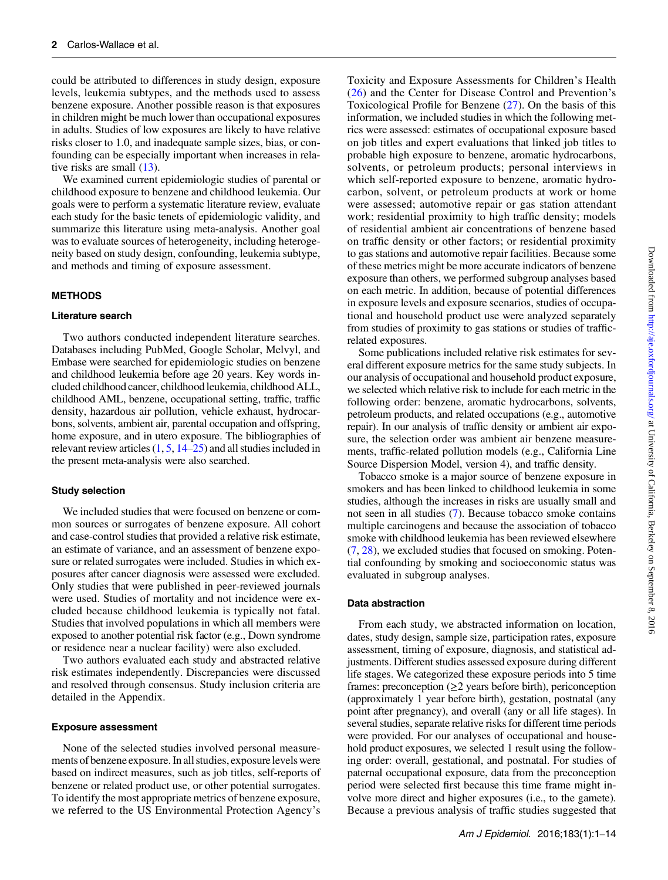could be attributed to differences in study design, exposure levels, leukemia subtypes, and the methods used to assess benzene exposure. Another possible reason is that exposures in children might be much lower than occupational exposures in adults. Studies of low exposures are likely to have relative risks closer to 1.0, and inadequate sample sizes, bias, or confounding can be especially important when increases in relative risks are small ([13\)](#page-10-0).

We examined current epidemiologic studies of parental or childhood exposure to benzene and childhood leukemia. Our goals were to perform a systematic literature review, evaluate each study for the basic tenets of epidemiologic validity, and summarize this literature using meta-analysis. Another goal was to evaluate sources of heterogeneity, including heterogeneity based on study design, confounding, leukemia subtype, and methods and timing of exposure assessment.

## **METHODS**

## Literature search

Two authors conducted independent literature searches. Databases including PubMed, Google Scholar, Melvyl, and Embase were searched for epidemiologic studies on benzene and childhood leukemia before age 20 years. Key words included childhood cancer, childhood leukemia, childhood ALL, childhood AML, benzene, occupational setting, traffic, traffic density, hazardous air pollution, vehicle exhaust, hydrocarbons, solvents, ambient air, parental occupation and offspring, home exposure, and in utero exposure. The bibliographies of relevant review articles  $(1, 5, 14-25)$  $(1, 5, 14-25)$  $(1, 5, 14-25)$  $(1, 5, 14-25)$  $(1, 5, 14-25)$  $(1, 5, 14-25)$  $(1, 5, 14-25)$  $(1, 5, 14-25)$  $(1, 5, 14-25)$  and all studies included in the present meta-analysis were also searched.

## Study selection

We included studies that were focused on benzene or common sources or surrogates of benzene exposure. All cohort and case-control studies that provided a relative risk estimate, an estimate of variance, and an assessment of benzene exposure or related surrogates were included. Studies in which exposures after cancer diagnosis were assessed were excluded. Only studies that were published in peer-reviewed journals were used. Studies of mortality and not incidence were excluded because childhood leukemia is typically not fatal. Studies that involved populations in which all members were exposed to another potential risk factor (e.g., Down syndrome or residence near a nuclear facility) were also excluded.

Two authors evaluated each study and abstracted relative risk estimates independently. Discrepancies were discussed and resolved through consensus. Study inclusion criteria are detailed in the Appendix.

## Exposure assessment

None of the selected studies involved personal measurements of benzene exposure. In all studies, exposurelevels were based on indirect measures, such as job titles, self-reports of benzene or related product use, or other potential surrogates. To identify the most appropriate metrics of benzene exposure, we referred to the US Environmental Protection Agency's

Toxicity and Exposure Assessments for Children's Health [\(26\)](#page-11-0) and the Center for Disease Control and Prevention's Toxicological Profile for Benzene ([27\)](#page-11-0). On the basis of this information, we included studies in which the following metrics were assessed: estimates of occupational exposure based on job titles and expert evaluations that linked job titles to probable high exposure to benzene, aromatic hydrocarbons, solvents, or petroleum products; personal interviews in which self-reported exposure to benzene, aromatic hydrocarbon, solvent, or petroleum products at work or home were assessed; automotive repair or gas station attendant work; residential proximity to high traffic density; models of residential ambient air concentrations of benzene based on traffic density or other factors; or residential proximity to gas stations and automotive repair facilities. Because some of these metrics might be more accurate indicators of benzene exposure than others, we performed subgroup analyses based on each metric. In addition, because of potential differences in exposure levels and exposure scenarios, studies of occupational and household product use were analyzed separately from studies of proximity to gas stations or studies of trafficrelated exposures.

Some publications included relative risk estimates for several different exposure metrics for the same study subjects. In our analysis of occupational and household product exposure, we selected which relative risk to include for each metric in the following order: benzene, aromatic hydrocarbons, solvents, petroleum products, and related occupations (e.g., automotive repair). In our analysis of traffic density or ambient air exposure, the selection order was ambient air benzene measurements, traffic-related pollution models (e.g., California Line Source Dispersion Model, version 4), and traffic density.

Tobacco smoke is a major source of benzene exposure in smokers and has been linked to childhood leukemia in some studies, although the increases in risks are usually small and not seen in all studies [\(7](#page-10-0)). Because tobacco smoke contains multiple carcinogens and because the association of tobacco smoke with childhood leukemia has been reviewed elsewhere [\(7](#page-10-0), [28\)](#page-11-0), we excluded studies that focused on smoking. Potential confounding by smoking and socioeconomic status was evaluated in subgroup analyses.

## Data abstraction

From each study, we abstracted information on location, dates, study design, sample size, participation rates, exposure assessment, timing of exposure, diagnosis, and statistical adjustments. Different studies assessed exposure during different life stages. We categorized these exposure periods into 5 time frames: preconception  $(\geq 2)$  years before birth), periconception (approximately 1 year before birth), gestation, postnatal (any point after pregnancy), and overall (any or all life stages). In several studies, separate relative risks for different time periods were provided. For our analyses of occupational and household product exposures, we selected 1 result using the following order: overall, gestational, and postnatal. For studies of paternal occupational exposure, data from the preconception period were selected first because this time frame might involve more direct and higher exposures (i.e., to the gamete). Because a previous analysis of traffic studies suggested that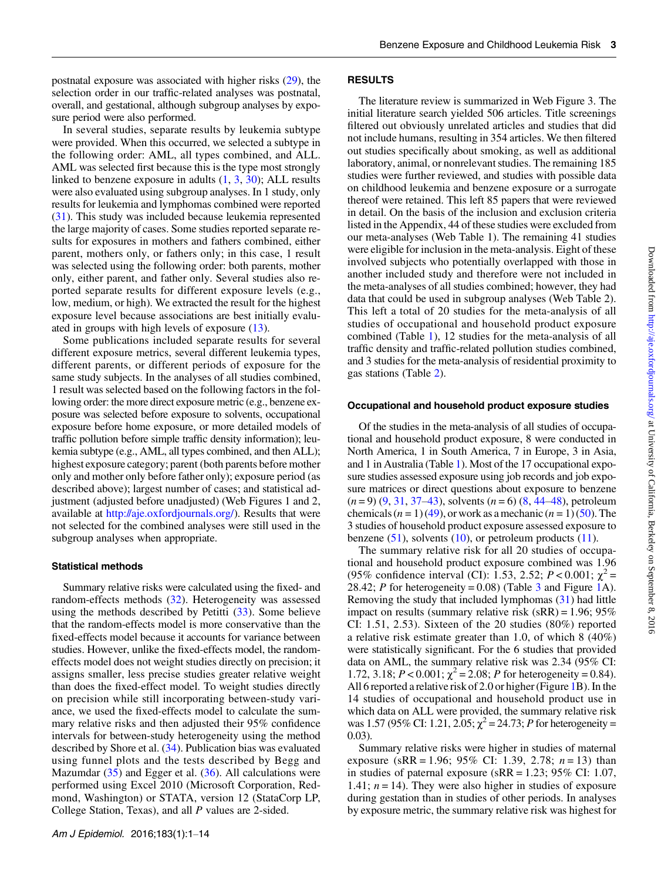postnatal exposure was associated with higher risks ([29](#page-11-0)), the selection order in our traffic-related analyses was postnatal, overall, and gestational, although subgroup analyses by exposure period were also performed.

In several studies, separate results by leukemia subtype were provided. When this occurred, we selected a subtype in the following order: AML, all types combined, and ALL. AML was selected first because this is the type most strongly linked to benzene exposure in adults  $(1, 3, 30)$  $(1, 3, 30)$  $(1, 3, 30)$  $(1, 3, 30)$  $(1, 3, 30)$  $(1, 3, 30)$ ; ALL results were also evaluated using subgroup analyses. In 1 study, only results for leukemia and lymphomas combined were reported [\(31](#page-11-0)). This study was included because leukemia represented the large majority of cases. Some studies reported separate results for exposures in mothers and fathers combined, either parent, mothers only, or fathers only; in this case, 1 result was selected using the following order: both parents, mother only, either parent, and father only. Several studies also reported separate results for different exposure levels (e.g., low, medium, or high). We extracted the result for the highest exposure level because associations are best initially evaluated in groups with high levels of exposure [\(13](#page-10-0)).

Some publications included separate results for several different exposure metrics, several different leukemia types, different parents, or different periods of exposure for the same study subjects. In the analyses of all studies combined, 1 result was selected based on the following factors in the following order: the more direct exposure metric (e.g., benzene exposure was selected before exposure to solvents, occupational exposure before home exposure, or more detailed models of traffic pollution before simple traffic density information); leukemia subtype (e.g., AML, all types combined, and then ALL); highest exposure category; parent (both parents before mother only and mother only before father only); exposure period (as described above); largest number of cases; and statistical adjustment (adjusted before unadjusted) ([Web Figures 1 and 2,](http://aje.oxfordjournals.org/lookup/suppl/doi:10.1093/aje/kwv120/-/DC1) available at <http://aje.oxfordjournals.org/>). Results that were not selected for the combined analyses were still used in the subgroup analyses when appropriate.

## Statistical methods

Summary relative risks were calculated using the fixed- and random-effects methods [\(32\)](#page-11-0). Heterogeneity was assessed using the methods described by Petitti  $(33)$  $(33)$ . Some believe that the random-effects model is more conservative than the fixed-effects model because it accounts for variance between studies. However, unlike the fixed-effects model, the randomeffects model does not weight studies directly on precision; it assigns smaller, less precise studies greater relative weight than does the fixed-effect model. To weight studies directly on precision while still incorporating between-study variance, we used the fixed-effects model to calculate the summary relative risks and then adjusted their 95% confidence intervals for between-study heterogeneity using the method described by Shore et al. [\(34](#page-11-0)). Publication bias was evaluated using funnel plots and the tests described by Begg and Mazumdar  $(35)$  $(35)$  and Egger et al.  $(36)$  $(36)$ . All calculations were performed using Excel 2010 (Microsoft Corporation, Redmond, Washington) or STATA, version 12 (StataCorp LP, College Station, Texas), and all P values are 2-sided.

## RESULTS

The literature review is summarized in [Web Figure 3.](http://aje.oxfordjournals.org/lookup/suppl/doi:10.1093/aje/kwv120/-/DC1) The initial literature search yielded 506 articles. Title screenings filtered out obviously unrelated articles and studies that did not include humans, resulting in 354 articles. We then filtered out studies specifically about smoking, as well as additional laboratory, animal, or nonrelevant studies. The remaining 185 studies were further reviewed, and studies with possible data on childhood leukemia and benzene exposure or a surrogate thereof were retained. This left 85 papers that were reviewed in detail. On the basis of the inclusion and exclusion criteria listed in the Appendix, 44 of these studies were excluded from our meta-analyses ([Web Table 1](http://aje.oxfordjournals.org/lookup/suppl/doi:10.1093/aje/kwv120/-/DC1)). The remaining 41 studies were eligible for inclusion in the meta-analysis. Eight of these involved subjects who potentially overlapped with those in another included study and therefore were not included in the meta-analyses of all studies combined; however, they had data that could be used in subgroup analyses [\(Web Table 2](http://aje.oxfordjournals.org/lookup/suppl/doi:10.1093/aje/kwv120/-/DC1)). This left a total of 20 studies for the meta-analysis of all studies of occupational and household product exposure combined (Table [1\)](#page-3-0), 12 studies for the meta-analysis of all traffic density and traffic-related pollution studies combined, and 3 studies for the meta-analysis of residential proximity to gas stations (Table [2](#page-5-0)).

#### Occupational and household product exposure studies

Of the studies in the meta-analysis of all studies of occupational and household product exposure, 8 were conducted in North America, 1 in South America, 7 in Europe, 3 in Asia, and 1 in Australia (Table [1](#page-3-0)). Most of the 17 occupational exposure studies assessed exposure using job records and job exposure matrices or direct questions about exposure to benzene  $(n = 9) (9, 31, 37-43)$  $(n = 9) (9, 31, 37-43)$  $(n = 9) (9, 31, 37-43)$  $(n = 9) (9, 31, 37-43)$  $(n = 9) (9, 31, 37-43)$  $(n = 9) (9, 31, 37-43)$  $(n = 9) (9, 31, 37-43)$  $(n = 9) (9, 31, 37-43)$  $(n = 9) (9, 31, 37-43)$ , solvents  $(n = 6) (8, 44-48)$  $(n = 6) (8, 44-48)$  $(n = 6) (8, 44-48)$  $(n = 6) (8, 44-48)$  $(n = 6) (8, 44-48)$  $(n = 6) (8, 44-48)$ , petroleum chemicals  $(n = 1)$  ([49\)](#page-11-0), or work as a mechanic  $(n = 1)$  [\(50](#page-11-0)). The 3 studies of household product exposure assessed exposure to benzene  $(51)$  $(51)$ , solvents  $(10)$  $(10)$ , or petroleum products  $(11)$  $(11)$ .

The summary relative risk for all 20 studies of occupational and household product exposure combined was 1.96 (95% confidence interval (CI): 1.53, 2.52;  $P < 0.001$ ;  $\chi^2 =$ 28.42; P for heterogeneity =  $0.08$ ) (Table [3](#page-6-0) and Figure [1](#page-7-0)A). Removing the study that included lymphomas [\(31](#page-11-0)) had little impact on results (summary relative risk  $(sRR) = 1.96; 95\%$ CI: 1.51, 2.53). Sixteen of the 20 studies (80%) reported a relative risk estimate greater than 1.0, of which 8 (40%) were statistically significant. For the 6 studies that provided data on AML, the summary relative risk was 2.34 (95% CI: 1.72, 3.18;  $P < 0.001$ ;  $\chi^2 = 2.08$ ; P for heterogeneity = 0.84). All 6 reported a relative risk of 2.0 or higher (Figure [1](#page-7-0)B). In the 14 studies of occupational and household product use in which data on ALL were provided, the summary relative risk was 1.57 (95% CI: 1.21, 2.05;  $\chi^2$  = 24.73; *P* for heterogeneity = 0.03).

Summary relative risks were higher in studies of maternal exposure (sRR = 1.96; 95% CI: 1.39, 2.78;  $n = 13$ ) than in studies of paternal exposure ( $sRR = 1.23$ ; 95% CI: 1.07, 1.41;  $n = 14$ ). They were also higher in studies of exposure during gestation than in studies of other periods. In analyses by exposure metric, the summary relative risk was highest for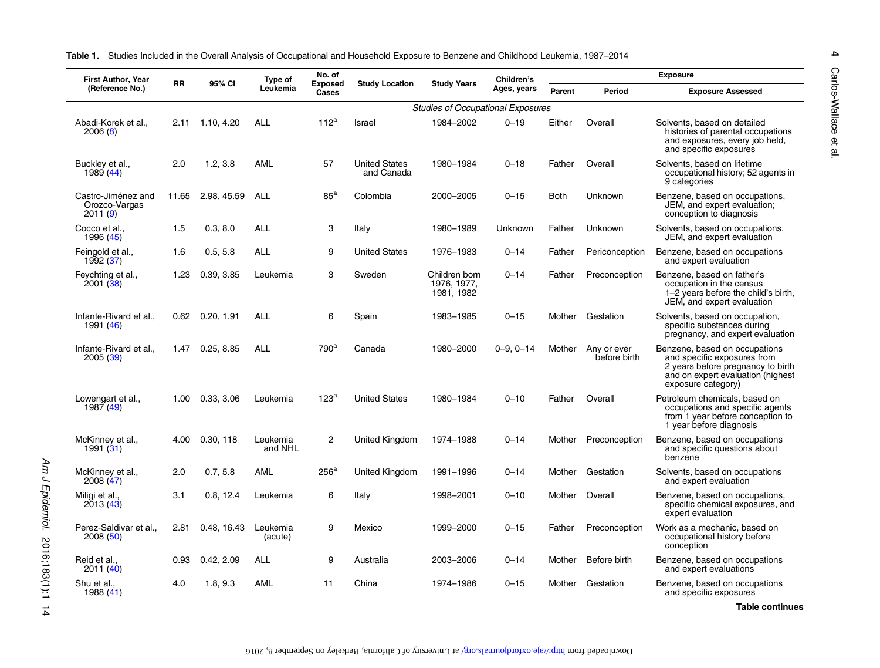<span id="page-3-0"></span>

| <b>First Author, Year</b>                                |           |                     | Type of             | No. of                  |                                    |                                            | Children's     |             |                             | <b>Exposure</b>                                                                                                                                              |
|----------------------------------------------------------|-----------|---------------------|---------------------|-------------------------|------------------------------------|--------------------------------------------|----------------|-------------|-----------------------------|--------------------------------------------------------------------------------------------------------------------------------------------------------------|
| (Reference No.)                                          | <b>RR</b> | 95% CI              | Leukemia            | <b>Exposed</b><br>Cases | <b>Study Location</b>              | <b>Study Years</b>                         | Ages, years    | Parent      | Period                      | <b>Exposure Assessed</b>                                                                                                                                     |
|                                                          |           |                     |                     |                         |                                    | <b>Studies of Occupational Exposures</b>   |                |             |                             |                                                                                                                                                              |
| Abadi-Korek et al.,<br>2006(8)                           | 2.11      | 1.10, 4.20          | <b>ALL</b>          | $112^a$                 | Israel                             | 1984-2002                                  | $0 - 19$       | Either      | Overall                     | Solvents, based on detailed<br>histories of parental occupations<br>and exposures, every job held,<br>and specific exposures                                 |
| Buckley et al.,<br>1989 (44)                             | 2.0       | 1.2, 3.8            | AML                 | 57                      | <b>United States</b><br>and Canada | 1980-1984                                  | $0 - 18$       | Father      | Overall                     | Solvents, based on lifetime<br>occupational history; 52 agents in<br>9 categories                                                                            |
| Castro-Jiménez and<br>Orozco-Vargas<br>2011 ( <b>9</b> ) | 11.65     | 2.98, 45.59         | <b>ALL</b>          | $85^{\rm a}$            | Colombia                           | 2000-2005                                  | $0 - 15$       | <b>Both</b> | Unknown                     | Benzene, based on occupations,<br>JEM, and expert evaluation;<br>conception to diagnosis                                                                     |
| Cocco et al.,<br>1996 (45)                               | 1.5       | 0.3, 8.0            | <b>ALL</b>          | 3                       | Italy                              | 1980-1989                                  | Unknown        | Father      | Unknown                     | Solvents, based on occupations,<br>JEM, and expert evaluation                                                                                                |
| Feingold et al.,<br>1992 (37)                            | 1.6       | 0.5, 5.8            | <b>ALL</b>          | 9                       | <b>United States</b>               | 1976-1983                                  | $0 - 14$       | Father      | Periconception              | Benzene, based on occupations<br>and expert evaluation                                                                                                       |
| Feychting et al.,<br>2001(38)                            | 1.23      | 0.39, 3.85          | Leukemia            | 3                       | Sweden                             | Children born<br>1976, 1977,<br>1981, 1982 | $0 - 14$       | Father      | Preconception               | Benzene, based on father's<br>occupation in the census<br>1–2 years before the child's birth,<br>JEM, and expert evaluation                                  |
| Infante-Rivard et al.,<br>1991 (46)                      |           | $0.62$ $0.20, 1.91$ | <b>ALL</b>          | 6                       | Spain                              | 1983-1985                                  | $0 - 15$       | Mother      | Gestation                   | Solvents, based on occupation,<br>specific substances during<br>pregnancy, and expert evaluation                                                             |
| Infante-Rivard et al.,<br>2005 (39)                      | 1.47      | 0.25, 8.85          | <b>ALL</b>          | 790 <sup>a</sup>        | Canada                             | 1980-2000                                  | $0 - 9.0 - 14$ | Mother      | Any or ever<br>before birth | Benzene, based on occupations<br>and specific exposures from<br>2 years before pregnancy to birth<br>and on expert evaluation (highest<br>exposure category) |
| Lowengart et al.,<br>1987 (49)                           | 1.00      | 0.33, 3.06          | Leukemia            | 123 <sup>a</sup>        | <b>United States</b>               | 1980-1984                                  | $0 - 10$       | Father      | Overall                     | Petroleum chemicals, based on<br>occupations and specific agents<br>from 1 year before conception to<br>1 year before diagnosis                              |
| McKinney et al.,<br>1991 (31)                            | 4.00      | 0.30, 118           | Leukemia<br>and NHL | $\overline{2}$          | United Kingdom                     | 1974-1988                                  | $0 - 14$       | Mother      | Preconception               | Benzene, based on occupations<br>and specific questions about<br>benzene                                                                                     |
| McKinney et al.,<br>2008 (47)                            | 2.0       | 0.7, 5.8            | AML                 | $256^{\circ}$           | United Kingdom                     | 1991-1996                                  | $0 - 14$       | Mother      | Gestation                   | Solvents, based on occupations<br>and expert evaluation                                                                                                      |
| Miligi et al.,<br>2013 (43)                              | 3.1       | 0.8, 12.4           | Leukemia            | 6                       | Italy                              | 1998-2001                                  | $0 - 10$       | Mother      | Overall                     | Benzene, based on occupations,<br>specific chemical exposures, and<br>expert evaluation                                                                      |
| Perez-Saldivar et al<br>2008(50)                         | 2.81      | 0.48.16.43          | Leukemia<br>(acute) | 9                       | Mexico                             | 1999-2000                                  | $0 - 15$       | Father      | Preconception               | Work as a mechanic, based on<br>occupational history before<br>conception                                                                                    |
| Reid et al<br>2011 (40)                                  | 0.93      | 0.42.2.09           | <b>ALL</b>          | 9                       | Australia                          | 2003-2006                                  | $0 - 14$       | Mother      | Before birth                | Benzene, based on occupations<br>and expert evaluations                                                                                                      |
| Shu et al.,<br>1988 (41)                                 | 4.0       | 1.8, 9.3            | AML                 | 11                      | China                              | 1974-1986                                  | $0 - 15$       | Mother      | Gestation                   | Benzene, based on occupations<br>and specific exposures                                                                                                      |

Table continues

4

Carlos-Wallace et al.

Carlos-Wallace et al.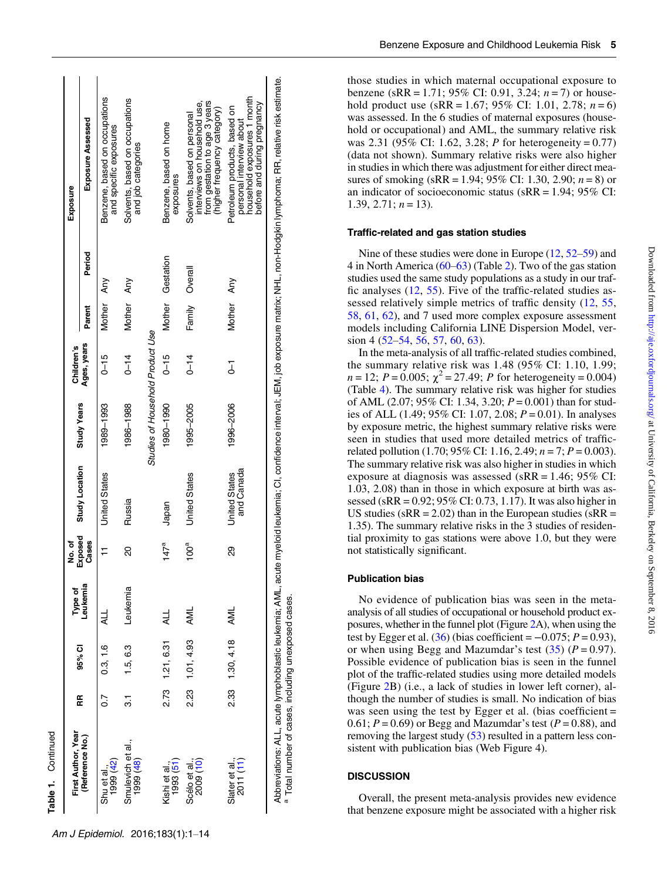| Table 1. Continued                                                                                               |                |                 |                         |                  |                                    |                                  |                |            |                  |                                                                                                                                  |
|------------------------------------------------------------------------------------------------------------------|----------------|-----------------|-------------------------|------------------|------------------------------------|----------------------------------|----------------|------------|------------------|----------------------------------------------------------------------------------------------------------------------------------|
| First Author, Year                                                                                               | 운              | 95% CI          | Type of                 | ծ<br>ջ           | Study Location                     | <b>Study Years</b>               | Children's     |            |                  | Exposure                                                                                                                         |
| (Reference No.)                                                                                                  |                |                 | Leukemia                | Exposed<br>Cases |                                    |                                  | Ages, years    | Parent     | Period           | Exposure Assessed                                                                                                                |
| 1999 (42)<br>Shu et al.,                                                                                         | $\overline{0}$ | 0.3, 1.6        | ᆗ                       | H                | <b>United States</b>               | 989-1993                         | $\frac{5}{15}$ | Mother     | Any              | Benzene, based on occupations<br>and specific exposures                                                                          |
| Smulevich et al.,<br>1999 (48)                                                                                   | $\frac{1}{3}$  | 1.5, 6.3        | Leukemia                | 20               | Russia                             | 1986-1988                        | $0 - 14$       | Mother     | Any              | Solvents, based on occupations<br>and job categories                                                                             |
|                                                                                                                  |                |                 |                         |                  |                                    | Studies of Household Product Use |                |            |                  |                                                                                                                                  |
| 1993(51)<br>Kishi et al.,                                                                                        |                | 2.73 1.21, 6.31 | 41                      | $147^a$          | Japan                              | 1980-1990                        | $0 - 15$       |            | Mother Gestation | Benzene, based on home<br>exposures                                                                                              |
| Scélo et al.,<br>2009 (10)                                                                                       | 2.33           | 1.01, 4.93      | $\overline{\mathsf{M}}$ | 100 <sup>a</sup> | <b>United States</b>               | 1995-2005                        | $0 - 14$       | Family     | Overall          | from gestation to age 3 years<br>interviews on household use.<br>(higher frequency category)<br>Solvents, based on personal      |
| Slater et al.,<br>2011 (11)                                                                                      |                | 2.33 1.30, 4.18 | AML                     | ၛ                | and Canada<br><b>United States</b> | 1996-2006                        | J              | Mother Any |                  | household exposures 1 month<br>before and during pregnancy<br>Petroleum products, based on<br>personal interview about           |
| Abbreviations: ALL, acute lymphoblastic leukemia; AML, ao<br>a Total number of cases, including unexposed cases. |                |                 |                         |                  |                                    |                                  |                |            |                  | cute myeloid leukemia; CI, confidence interval; JEM, job exposure matrix; NHL, non-Hodgkin lymphoma; RR, relative risk estimate. |

those studies in which maternal occupational exposure to benzene (sRR = 1.71; 95% CI: 0.91, 3.24;  $n = 7$ ) or household product use (sRR = 1.67; 95% CI: 1.01, 2.78;  $n = 6$ ) was assessed. In the 6 studies of maternal exposures (household or occupational) and AML, the summary relative risk was 2.31 (95% CI: 1.62, 3.28; P for heterogeneity = 0.77) (data not shown). Summary relative risks were also higher in studies in which there was adjustment for either direct measures of smoking (sRR = 1.94; 95% CI: 1.30, 2.90;  $n = 8$ ) or an indicator of socioeconomic status (sRR = 1.94; 95% CI: 1.39, 2.71;  $n = 13$ ).

## Traffic-related and gas station studies

Nine of these studies were done in Europe ([12,](#page-10-0) [52](#page-11-0)–[59](#page-12-0)) and 4 in North America  $(60-63)$  $(60-63)$  $(60-63)$  $(60-63)$  (Table [2\)](#page-5-0). Two of the gas station studies used the same study populations as a study in our traffic analyses  $(12, 55)$  $(12, 55)$  $(12, 55)$ . Five of the traffic-related studies assessed relatively simple metrics of traffic density  $(12, 55,$  $(12, 55,$  $(12, 55,$  $(12, 55,$  $(12, 55,$ [58](#page-12-0), [61,](#page-12-0) [62](#page-12-0)), and 7 used more complex exposure assessment models including California LINE Dispersion Model, version 4 [\(52](#page-11-0)–[54](#page-12-0), [56,](#page-12-0) [57](#page-12-0), [60](#page-12-0), [63\)](#page-12-0).

In the meta-analysis of all traffic-related studies combined, the summary relative risk was 1.48 (95% CI: 1.10, 1.99;  $n = 12$ ;  $P = 0.005$ ;  $\chi^2 = 27.49$ ; P for heterogeneity = 0.004) (Table [4\)](#page-8-0). The summary relative risk was higher for studies of AML (2.07; 95% CI: 1.34, 3.20;  $P = 0.001$ ) than for studies of ALL (1.49; 95% CI: 1.07, 2.08;  $P = 0.01$ ). In analyses by exposure metric, the highest summary relative risks were seen in studies that used more detailed metrics of trafficrelated pollution (1.70; 95% CI: 1.16, 2.49;  $n = 7$ ;  $P = 0.003$ ). The summary relative risk was also higher in studies in which exposure at diagnosis was assessed ( $sRR = 1.46$ ; 95% CI: 1.03, 2.08) than in those in which exposure at birth was assessed (sRR = 0.92; 95% CI: 0.73, 1.17). It was also higher in US studies ( $sRR = 2.02$ ) than in the European studies ( $sRR =$ 1.35). The summary relative risks in the 3 studies of residential proximity to gas stations were above 1.0, but they were not statistically significant.

## Publication bias

No evidence of publication bias was seen in the metaanalysis of all studies of occupational or household product exposures, whether in the funnel plot (Figure [2](#page-8-0)A), when using the test by Egger et al.  $(36)$  $(36)$  (bias coefficient =  $-0.075$ ;  $P = 0.93$ ), or when using Begg and Mazumdar's test  $(35)$  ( $P = 0.97$ ). Possible evidence of publication bias is seen in the funnel plot of the traffic-related studies using more detailed models (Figure [2B](#page-8-0)) (i.e., a lack of studies in lower left corner), although the number of studies is small. No indication of bias was seen using the test by Egger et al. (bias coefficient =  $0.61; P = 0.69$  or Begg and Mazumdar's test ( $P = 0.88$ ), and removing the largest study  $(53)$  $(53)$  resulted in a pattern less consistent with publication bias [\(Web Figure 4](http://aje.oxfordjournals.org/lookup/suppl/doi:10.1093/aje/kwv120/-/DC1)).

# **DISCUSSION**

Overall, the present meta-analysis provides new evidence that benzene exposure might be associated with a higher risk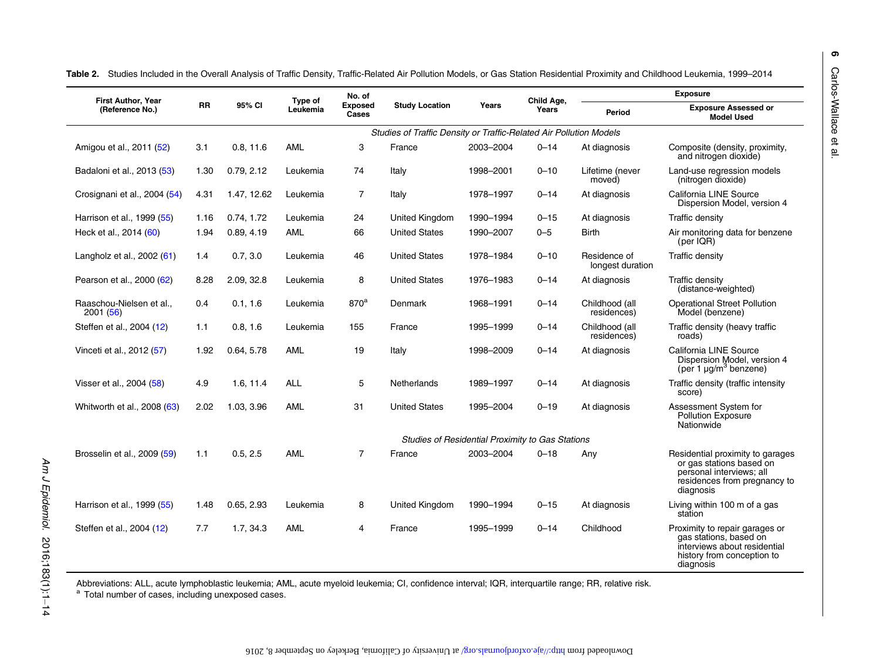| <b>First Author, Year</b>             |           |             | Type of    | No. of                  |                                                                    |                                                  | Child Age, |                                  | <b>Exposure</b>                                                                                                                       |  |  |  |  |
|---------------------------------------|-----------|-------------|------------|-------------------------|--------------------------------------------------------------------|--------------------------------------------------|------------|----------------------------------|---------------------------------------------------------------------------------------------------------------------------------------|--|--|--|--|
| (Reference No.)                       | <b>RR</b> | 95% CI      | Leukemia   | <b>Exposed</b><br>Cases | <b>Study Location</b>                                              | Years                                            | Years      | Period                           | <b>Exposure Assessed or</b><br><b>Model Used</b>                                                                                      |  |  |  |  |
|                                       |           |             |            |                         | Studies of Traffic Density or Traffic-Related Air Pollution Models |                                                  |            |                                  |                                                                                                                                       |  |  |  |  |
| Amigou et al., 2011 (52)              | 3.1       | 0.8, 11.6   | <b>AML</b> | 3                       | France                                                             | 2003-2004                                        | $0 - 14$   | At diagnosis                     | Composite (density, proximity,<br>and nitrogen dioxide)                                                                               |  |  |  |  |
| Badaloni et al., 2013 (53)            | 1.30      | 0.79, 2.12  | Leukemia   | 74                      | Italy                                                              | 1998-2001                                        | $0 - 10$   | Lifetime (never<br>moved)        | Land-use regression models<br>(nitrogen dioxide)                                                                                      |  |  |  |  |
| Crosignani et al., 2004 (54)          | 4.31      | 1.47, 12.62 | Leukemia   | 7                       | Italy                                                              | 1978-1997                                        | $0 - 14$   | At diagnosis                     | California LINE Source<br>Dispersion Model, version 4                                                                                 |  |  |  |  |
| Harrison et al., 1999 (55)            | 1.16      | 0.74, 1.72  | Leukemia   | 24                      | <b>United Kingdom</b>                                              | 1990-1994                                        | $0 - 15$   | At diagnosis                     | <b>Traffic density</b>                                                                                                                |  |  |  |  |
| Heck et al., 2014 (60)                | 1.94      | 0.89, 4.19  | <b>AML</b> | 66                      | <b>United States</b>                                               | 1990-2007                                        | $0 - 5$    | <b>Birth</b>                     | Air monitoring data for benzene<br>(per IQR)                                                                                          |  |  |  |  |
| Langholz et al., 2002 (61)            | 1.4       | 0.7, 3.0    | Leukemia   | 46                      | <b>United States</b>                                               | 1978-1984                                        | $0 - 10$   | Residence of<br>longest duration | <b>Traffic density</b>                                                                                                                |  |  |  |  |
| Pearson et al., 2000 (62)             | 8.28      | 2.09, 32.8  | Leukemia   | 8                       | <b>United States</b>                                               | 1976-1983                                        | $0 - 14$   | At diagnosis                     | Traffic density<br>(distance-weighted)                                                                                                |  |  |  |  |
| Raaschou-Nielsen et al.,<br>2001 (56) | 0.4       | 0.1, 1.6    | Leukemia   | 870 <sup>a</sup>        | Denmark                                                            | 1968-1991                                        | $0 - 14$   | Childhood (all<br>residences)    | <b>Operational Street Pollution</b><br>Model (benzene)                                                                                |  |  |  |  |
| Steffen et al., 2004 (12)             | 1.1       | 0.8, 1.6    | Leukemia   | 155                     | France                                                             | 1995-1999                                        | $0 - 14$   | Childhood (all<br>residences)    | Traffic density (heavy traffic<br>roads)                                                                                              |  |  |  |  |
| Vinceti et al., 2012 (57)             | 1.92      | 0.64, 5.78  | AML        | 19                      | Italy                                                              | 1998-2009                                        | $0 - 14$   | At diagnosis                     | California LINE Source<br>Dispersion Model, version 4<br>(per 1 $\mu q/m^3$ benzene)                                                  |  |  |  |  |
| Visser et al., 2004 (58)              | 4.9       | 1.6.11.4    | <b>ALL</b> | 5                       | Netherlands                                                        | 1989-1997                                        | $0 - 14$   | At diagnosis                     | Traffic density (traffic intensity<br>score)                                                                                          |  |  |  |  |
| Whitworth et al., 2008 (63)           | 2.02      | 1.03, 3.96  | AML        | 31                      | <b>United States</b>                                               | 1995-2004                                        | $0 - 19$   | At diagnosis                     | Assessment System for<br><b>Pollution Exposure</b><br>Nationwide                                                                      |  |  |  |  |
|                                       |           |             |            |                         |                                                                    | Studies of Residential Proximity to Gas Stations |            |                                  |                                                                                                                                       |  |  |  |  |
| Brosselin et al., 2009 (59)           | 1.1       | 0.5, 2.5    | <b>AML</b> | $\overline{7}$          | France                                                             | 2003-2004                                        | $0 - 18$   | Any                              | Residential proximity to garages<br>or gas stations based on<br>personal interviews: all<br>residences from pregnancy to<br>diagnosis |  |  |  |  |
| Harrison et al., 1999 (55)            | 1.48      | 0.65, 2.93  | Leukemia   | 8                       | United Kingdom                                                     | 1990-1994                                        | $0 - 15$   | At diagnosis                     | Living within 100 m of a gas<br>station                                                                                               |  |  |  |  |
| Steffen et al., 2004 (12)             | 7.7       | 1.7, 34.3   | AML        | 4                       | France                                                             | 1995-1999                                        | $0 - 14$   | Childhood                        | Proximity to repair garages or<br>gas stations, based on<br>interviews about residential<br>history from conception to<br>diagnosis   |  |  |  |  |

<span id="page-5-0"></span>Table 2. Studies Included in the Overall Analysis of Traffic Density, Traffic-Related Air Pollution Models, or Gas Station Residential Proximity and Childhood Leukemia, 1999–2014

Abbreviations: ALL, acute lymphoblastic leukemia; AML, acute myeloid leukemia; CI, confidence interval; IQR, interquartile range; RR, relative risk.<br><sup>a</sup> Total number of cases, including unexposed cases.

6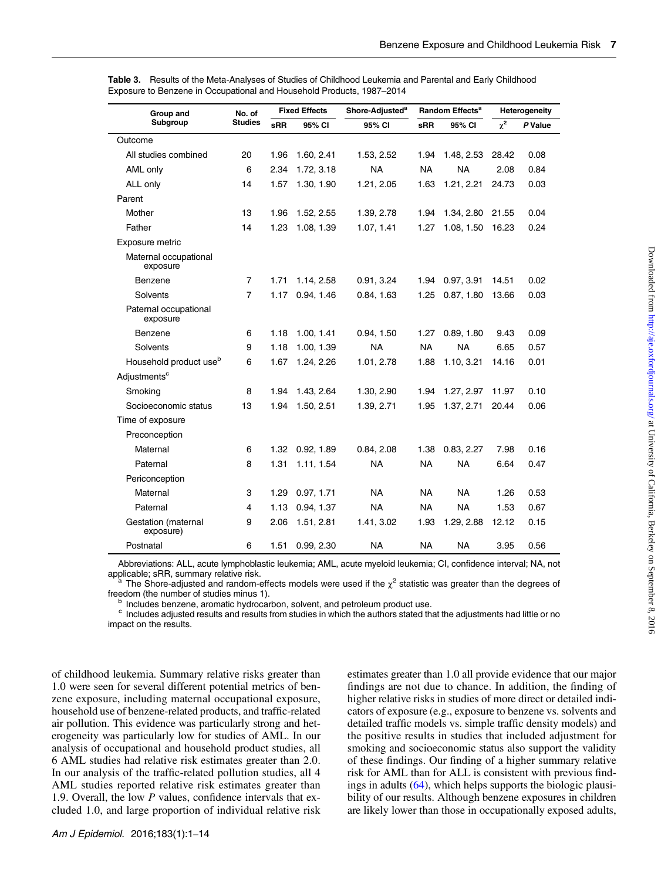| Group and                          | No. of  |            | <b>Fixed Effects</b> | Shore-Adjusted <sup>a</sup> |            | Random Effects <sup>a</sup> | Heterogeneity       |         |
|------------------------------------|---------|------------|----------------------|-----------------------------|------------|-----------------------------|---------------------|---------|
| Subgroup                           | Studies | <b>sRR</b> | 95% CI               | 95% CI                      | <b>sRR</b> | 95% CI                      | $\overline{\chi^2}$ | P Value |
| Outcome                            |         |            |                      |                             |            |                             |                     |         |
| All studies combined               | 20      | 1.96       | 1.60, 2.41           | 1.53, 2.52                  | 1.94       | 1.48, 2.53                  | 28.42               | 0.08    |
| AML only                           | 6       | 2.34       | 1.72, 3.18           | <b>NA</b>                   | <b>NA</b>  | <b>NA</b>                   | 2.08                | 0.84    |
| ALL only                           | 14      | 1.57       | 1.30, 1.90           | 1.21, 2.05                  | 1.63       | 1.21, 2.21                  | 24.73               | 0.03    |
| Parent                             |         |            |                      |                             |            |                             |                     |         |
| Mother                             | 13      | 1.96       | 1.52, 2.55           | 1.39, 2.78                  | 1.94       | 1.34, 2.80                  | 21.55               | 0.04    |
| Father                             | 14      | 1.23       | 1.08, 1.39           | 1.07, 1.41                  | 1.27       | 1.08, 1.50                  | 16.23               | 0.24    |
| Exposure metric                    |         |            |                      |                             |            |                             |                     |         |
| Maternal occupational<br>exposure  |         |            |                      |                             |            |                             |                     |         |
| Benzene                            | 7       | 1.71       | 1.14, 2.58           | 0.91, 3.24                  | 1.94       | 0.97, 3.91                  | 14.51               | 0.02    |
| Solvents                           | 7       | 1.17       | 0.94, 1.46           | 0.84, 1.63                  | 1.25       | 0.87, 1.80                  | 13.66               | 0.03    |
| Paternal occupational<br>exposure  |         |            |                      |                             |            |                             |                     |         |
| Benzene                            | 6       | 1.18       | 1.00, 1.41           | 0.94, 1.50                  | 1.27       | 0.89, 1.80                  | 9.43                | 0.09    |
| Solvents                           | 9       | 1.18       | 1.00, 1.39           | <b>NA</b>                   | <b>NA</b>  | <b>NA</b>                   | 6.65                | 0.57    |
| Household product use <sup>b</sup> | 6       | 1.67       | 1.24, 2.26           | 1.01, 2.78                  | 1.88       | 1.10, 3.21                  | 14.16               | 0.01    |
| Adjustments <sup>c</sup>           |         |            |                      |                             |            |                             |                     |         |
| Smoking                            | 8       | 1.94       | 1.43, 2.64           | 1.30, 2.90                  | 1.94       | 1.27, 2.97                  | 11.97               | 0.10    |
| Socioeconomic status               | 13      | 1.94       | 1.50, 2.51           | 1.39, 2.71                  | 1.95       | 1.37, 2.71                  | 20.44               | 0.06    |
| Time of exposure                   |         |            |                      |                             |            |                             |                     |         |
| Preconception                      |         |            |                      |                             |            |                             |                     |         |
| Maternal                           | 6       | 1.32       | 0.92, 1.89           | 0.84, 2.08                  | 1.38       | 0.83, 2.27                  | 7.98                | 0.16    |
| Paternal                           | 8       | 1.31       | 1.11, 1.54           | <b>NA</b>                   | <b>NA</b>  | <b>NA</b>                   | 6.64                | 0.47    |
| Periconception                     |         |            |                      |                             |            |                             |                     |         |
| Maternal                           | 3       | 1.29       | 0.97, 1.71           | NA                          | <b>NA</b>  | <b>NA</b>                   | 1.26                | 0.53    |
| Paternal                           | 4       | 1.13       | 0.94, 1.37           | <b>NA</b>                   | <b>NA</b>  | <b>NA</b>                   | 1.53                | 0.67    |
| Gestation (maternal<br>exposure)   | 9       | 2.06       | 1.51, 2.81           | 1.41, 3.02                  | 1.93       | 1.29, 2.88                  | 12.12               | 0.15    |
| Postnatal                          | 6       | 1.51       | 0.99, 2.30           | NA.                         | <b>NA</b>  | <b>NA</b>                   | 3.95                | 0.56    |

<span id="page-6-0"></span>Table 3. Results of the Meta-Analyses of Studies of Childhood Leukemia and Parental and Early Childhood Exposure to Benzene in Occupational and Household Products, 1987–2014

Abbreviations: ALL, acute lymphoblastic leukemia; AML, acute myeloid leukemia; CI, confidence interval; NA, not

<sup>a</sup> The Shore-adjusted and random-effects models were used if the  $\chi^2$  statistic was greater than the degrees of freedom (the number of studies minus 1).

b Includes benzene, aromatic hydrocarbon, solvent, and petroleum product use.<br>c Includes adjusted results and results from studies in which the authors stated that the adjustments had little or no impact on the results.

of childhood leukemia. Summary relative risks greater than 1.0 were seen for several different potential metrics of benzene exposure, including maternal occupational exposure, household use of benzene-related products, and traffic-related air pollution. This evidence was particularly strong and heterogeneity was particularly low for studies of AML. In our analysis of occupational and household product studies, all 6 AML studies had relative risk estimates greater than 2.0. In our analysis of the traffic-related pollution studies, all 4 AML studies reported relative risk estimates greater than 1.9. Overall, the low P values, confidence intervals that excluded 1.0, and large proportion of individual relative risk estimates greater than 1.0 all provide evidence that our major findings are not due to chance. In addition, the finding of higher relative risks in studies of more direct or detailed indicators of exposure (e.g., exposure to benzene vs. solvents and detailed traffic models vs. simple traffic density models) and the positive results in studies that included adjustment for smoking and socioeconomic status also support the validity of these findings. Our finding of a higher summary relative risk for AML than for ALL is consistent with previous findings in adults [\(64](#page-12-0)), which helps supports the biologic plausibility of our results. Although benzene exposures in children are likely lower than those in occupationally exposed adults,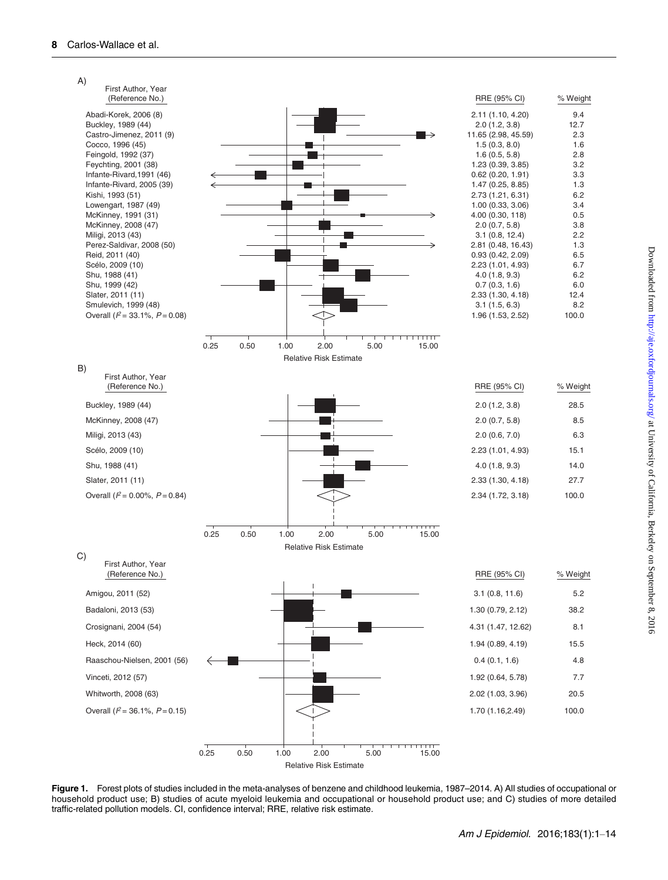<span id="page-7-0"></span>

Figure 1. Forest plots of studies included in the meta-analyses of benzene and childhood leukemia, 1987–2014. A) All studies of occupational or household product use; B) studies of acute myeloid leukemia and occupational or household product use; and C) studies of more detailed traffic-related pollution models. CI, confidence interval; RRE, relative risk estimate.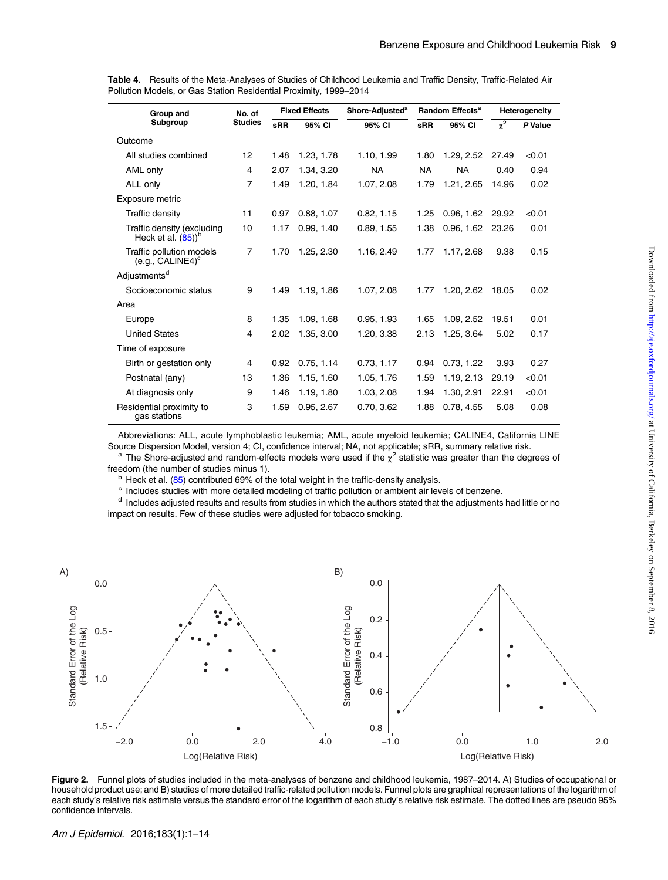| Group and                                                     |                | <b>Fixed Effects</b><br>Shore-Adjusted <sup>a</sup><br>No. of |            |            |            | Random Effects <sup>a</sup> |          | Heterogeneity |
|---------------------------------------------------------------|----------------|---------------------------------------------------------------|------------|------------|------------|-----------------------------|----------|---------------|
| Subgroup                                                      | <b>Studies</b> | <b>sRR</b>                                                    | 95% CI     | 95% CI     | <b>sRR</b> | 95% CI                      | $\chi^2$ | P Value       |
| Outcome                                                       |                |                                                               |            |            |            |                             |          |               |
| All studies combined                                          | 12             | 1.48                                                          | 1.23, 1.78 | 1.10, 1.99 | 1.80       | 1.29, 2.52                  | 27.49    | < 0.01        |
| AML only                                                      | 4              | 2.07                                                          | 1.34, 3.20 | <b>NA</b>  | <b>NA</b>  | <b>NA</b>                   | 0.40     | 0.94          |
| ALL only                                                      | $\overline{7}$ | 1.49                                                          | 1.20, 1.84 | 1.07, 2.08 | 1.79       | 1.21.2.65                   | 14.96    | 0.02          |
| Exposure metric                                               |                |                                                               |            |            |            |                             |          |               |
| <b>Traffic density</b>                                        | 11             | 0.97                                                          | 0.88, 1.07 | 0.82, 1.15 | 1.25       | 0.96, 1.62                  | 29.92    | < 0.01        |
| Traffic density (excluding<br>Heck et al. $(85)$ <sup>o</sup> | 10             | 1.17                                                          | 0.99.1.40  | 0.89, 1.55 | 1.38       | 0.96, 1.62                  | 23.26    | 0.01          |
| Traffic pollution models<br>$(e.g., CALINE4)^c$               | $\overline{7}$ | 1.70                                                          | 1.25, 2.30 | 1.16, 2.49 | 1.77       | 1.17, 2.68                  | 9.38     | 0.15          |
| Adjustments <sup>d</sup>                                      |                |                                                               |            |            |            |                             |          |               |
| Socioeconomic status                                          | 9              | 1.49                                                          | 1.19.1.86  | 1.07, 2.08 | 1.77       | 1.20, 2.62                  | 18.05    | 0.02          |
| Area                                                          |                |                                                               |            |            |            |                             |          |               |
| Europe                                                        | 8              | 1.35                                                          | 1.09, 1.68 | 0.95, 1.93 | 1.65       | 1.09, 2.52                  | 19.51    | 0.01          |
| <b>United States</b>                                          | 4              | 2.02                                                          | 1.35, 3.00 | 1.20, 3.38 | 2.13       | 1.25, 3.64                  | 5.02     | 0.17          |
| Time of exposure                                              |                |                                                               |            |            |            |                             |          |               |
| Birth or gestation only                                       | 4              | 0.92                                                          | 0.75, 1.14 | 0.73, 1.17 | 0.94       | 0.73, 1.22                  | 3.93     | 0.27          |
| Postnatal (any)                                               | 13             | 1.36                                                          | 1.15, 1.60 | 1.05, 1.76 | 1.59       | 1.19, 2.13                  | 29.19    | < 0.01        |
| At diagnosis only                                             | 9              | 1.46                                                          | 1.19, 1.80 | 1.03, 2.08 | 1.94       | 1.30, 2.91                  | 22.91    | < 0.01        |
| Residential proximity to<br>gas stations                      | 3              | 1.59                                                          | 0.95, 2.67 | 0.70, 3.62 | 1.88       | 0.78, 4.55                  | 5.08     | 0.08          |

<span id="page-8-0"></span>Table 4. Results of the Meta-Analyses of Studies of Childhood Leukemia and Traffic Density, Traffic-Related Air Pollution Models, or Gas Station Residential Proximity, 1999–2014

Abbreviations: ALL, acute lymphoblastic leukemia; AML, acute myeloid leukemia; CALINE4, California LINE<br>Source Dispersion Model, version 4; CI, confidence interval; NA, not applicable; sRR, summary relative risk.

<sup>a</sup> The Shore-adjusted and random-effects models were used if the  $\chi^2$  statistic was greater than the degrees of freedom (the number of studies minus 1).<br><sup>b</sup> Heck et al. (85) contributed 69% of the total weight in the traffic-density analysis.

 $\degree$  Includes studies with more detailed modeling of traffic pollution or ambient air levels of benzene.

<sup>d</sup> Includes adjusted results and results from studies in which the authors stated that the adjustments had little or no impact on results. Few of these studies were adjusted for tobacco smoking.



Figure 2. Funnel plots of studies included in the meta-analyses of benzene and childhood leukemia, 1987–2014. A) Studies of occupational or household product use; and B) studies of more detailed traffic-related pollution models. Funnel plots are graphical representations of the logarithm of each study's relative risk estimate versus the standard error of the logarithm of each study's relative risk estimate. The dotted lines are pseudo 95% confidence intervals.

Am J Epidemiol. 2016;183(1):1–14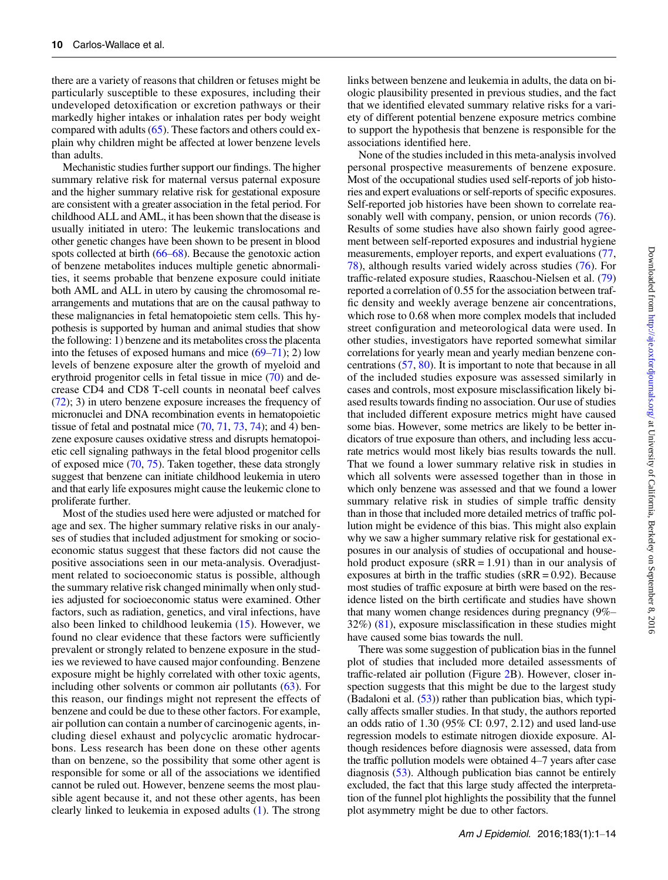there are a variety of reasons that children or fetuses might be particularly susceptible to these exposures, including their undeveloped detoxification or excretion pathways or their markedly higher intakes or inhalation rates per body weight compared with adults ([65\)](#page-12-0). These factors and others could explain why children might be affected at lower benzene levels than adults.

Mechanistic studies further support our findings. The higher summary relative risk for maternal versus paternal exposure and the higher summary relative risk for gestational exposure are consistent with a greater association in the fetal period. For childhood ALL and AML, it has been shown that the disease is usually initiated in utero: The leukemic translocations and other genetic changes have been shown to be present in blood spots collected at birth ([66](#page-12-0)–[68](#page-12-0)). Because the genotoxic action of benzene metabolites induces multiple genetic abnormalities, it seems probable that benzene exposure could initiate both AML and ALL in utero by causing the chromosomal rearrangements and mutations that are on the causal pathway to these malignancies in fetal hematopoietic stem cells. This hypothesis is supported by human and animal studies that show the following: 1) benzene and its metabolites cross the placenta into the fetuses of exposed humans and mice  $(69-71)$  $(69-71)$  $(69-71)$  $(69-71)$  $(69-71)$ ; 2) low levels of benzene exposure alter the growth of myeloid and erythroid progenitor cells in fetal tissue in mice [\(70](#page-12-0)) and decrease CD4 and CD8 T-cell counts in neonatal beef calves [\(72\)](#page-12-0); 3) in utero benzene exposure increases the frequency of micronuclei and DNA recombination events in hematopoietic tissue of fetal and postnatal mice [\(70,](#page-12-0) [71,](#page-12-0) [73](#page-12-0), [74](#page-12-0)); and 4) benzene exposure causes oxidative stress and disrupts hematopoietic cell signaling pathways in the fetal blood progenitor cells of exposed mice ([70,](#page-12-0) [75\)](#page-12-0). Taken together, these data strongly suggest that benzene can initiate childhood leukemia in utero and that early life exposures might cause the leukemic clone to proliferate further.

Most of the studies used here were adjusted or matched for age and sex. The higher summary relative risks in our analyses of studies that included adjustment for smoking or socioeconomic status suggest that these factors did not cause the positive associations seen in our meta-analysis. Overadjustment related to socioeconomic status is possible, although the summary relative risk changed minimally when only studies adjusted for socioeconomic status were examined. Other factors, such as radiation, genetics, and viral infections, have also been linked to childhood leukemia ([15\)](#page-11-0). However, we found no clear evidence that these factors were sufficiently prevalent or strongly related to benzene exposure in the studies we reviewed to have caused major confounding. Benzene exposure might be highly correlated with other toxic agents, including other solvents or common air pollutants  $(63)$  $(63)$ . For this reason, our findings might not represent the effects of benzene and could be due to these other factors. For example, air pollution can contain a number of carcinogenic agents, including diesel exhaust and polycyclic aromatic hydrocarbons. Less research has been done on these other agents than on benzene, so the possibility that some other agent is responsible for some or all of the associations we identified cannot be ruled out. However, benzene seems the most plausible agent because it, and not these other agents, has been clearly linked to leukemia in exposed adults [\(1](#page-10-0)). The strong

links between benzene and leukemia in adults, the data on biologic plausibility presented in previous studies, and the fact that we identified elevated summary relative risks for a variety of different potential benzene exposure metrics combine to support the hypothesis that benzene is responsible for the associations identified here.

None of the studies included in this meta-analysis involved personal prospective measurements of benzene exposure. Most of the occupational studies used self-reports of job histories and expert evaluations or self-reports of specific exposures. Self-reported job histories have been shown to correlate rea-sonably well with company, pension, or union records [\(76](#page-12-0)). Results of some studies have also shown fairly good agreement between self-reported exposures and industrial hygiene measurements, employer reports, and expert evaluations [\(77](#page-12-0), [78\)](#page-12-0), although results varied widely across studies [\(76](#page-12-0)). For traffic-related exposure studies, Raaschou-Nielsen et al. ([79\)](#page-12-0) reported a correlation of 0.55 for the association between traffic density and weekly average benzene air concentrations, which rose to 0.68 when more complex models that included street configuration and meteorological data were used. In other studies, investigators have reported somewhat similar correlations for yearly mean and yearly median benzene concentrations [\(57](#page-12-0), [80](#page-12-0)). It is important to note that because in all of the included studies exposure was assessed similarly in cases and controls, most exposure misclassification likely biased results towards finding no association. Our use of studies that included different exposure metrics might have caused some bias. However, some metrics are likely to be better indicators of true exposure than others, and including less accurate metrics would most likely bias results towards the null. That we found a lower summary relative risk in studies in which all solvents were assessed together than in those in which only benzene was assessed and that we found a lower summary relative risk in studies of simple traffic density than in those that included more detailed metrics of traffic pollution might be evidence of this bias. This might also explain why we saw a higher summary relative risk for gestational exposures in our analysis of studies of occupational and household product exposure ( $sRR = 1.91$ ) than in our analysis of exposures at birth in the traffic studies ( $sRR = 0.92$ ). Because most studies of traffic exposure at birth were based on the residence listed on the birth certificate and studies have shown that many women change residences during pregnancy (9%–  $32\%$ ) [\(81](#page-12-0)), exposure misclassification in these studies might have caused some bias towards the null.

There was some suggestion of publication bias in the funnel plot of studies that included more detailed assessments of traffic-related air pollution (Figure [2B](#page-8-0)). However, closer inspection suggests that this might be due to the largest study (Badaloni et al. [\(53](#page-11-0))) rather than publication bias, which typically affects smaller studies. In that study, the authors reported an odds ratio of 1.30 (95% CI: 0.97, 2.12) and used land-use regression models to estimate nitrogen dioxide exposure. Although residences before diagnosis were assessed, data from the traffic pollution models were obtained 4–7 years after case diagnosis [\(53](#page-11-0)). Although publication bias cannot be entirely excluded, the fact that this large study affected the interpretation of the funnel plot highlights the possibility that the funnel plot asymmetry might be due to other factors.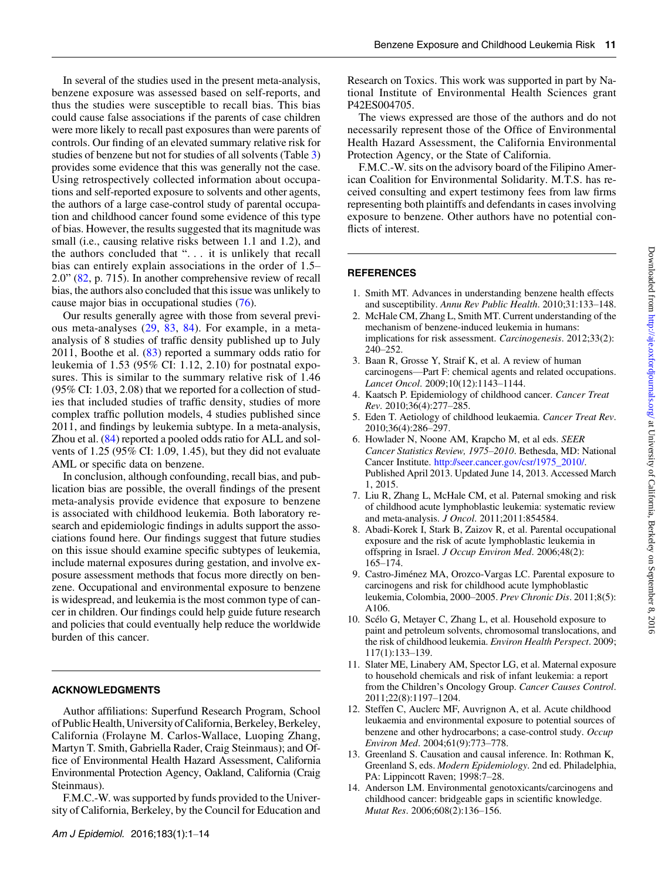<span id="page-10-0"></span>In several of the studies used in the present meta-analysis, benzene exposure was assessed based on self-reports, and thus the studies were susceptible to recall bias. This bias could cause false associations if the parents of case children were more likely to recall past exposures than were parents of controls. Our finding of an elevated summary relative risk for studies of benzene but not for studies of all solvents (Table [3\)](#page-6-0) provides some evidence that this was generally not the case. Using retrospectively collected information about occupations and self-reported exposure to solvents and other agents, the authors of a large case-control study of parental occupation and childhood cancer found some evidence of this type of bias. However, the results suggested that its magnitude was small (i.e., causing relative risks between 1.1 and 1.2), and the authors concluded that ". . . it is unlikely that recall bias can entirely explain associations in the order of 1.5– 2.0" ([82,](#page-12-0) p. 715). In another comprehensive review of recall bias, the authors also concluded that this issue was unlikely to cause major bias in occupational studies ([76\)](#page-12-0).

Our results generally agree with those from several previous meta-analyses [\(29](#page-11-0), [83](#page-12-0), [84](#page-12-0)). For example, in a metaanalysis of 8 studies of traffic density published up to July 2011, Boothe et al. [\(83](#page-12-0)) reported a summary odds ratio for leukemia of 1.53 (95% CI: 1.12, 2.10) for postnatal exposures. This is similar to the summary relative risk of 1.46 (95% CI: 1.03, 2.08) that we reported for a collection of studies that included studies of traffic density, studies of more complex traffic pollution models, 4 studies published since 2011, and findings by leukemia subtype. In a meta-analysis, Zhou et al. ([84](#page-12-0)) reported a pooled odds ratio for ALL and solvents of 1.25 (95% CI: 1.09, 1.45), but they did not evaluate AML or specific data on benzene.

In conclusion, although confounding, recall bias, and publication bias are possible, the overall findings of the present meta-analysis provide evidence that exposure to benzene is associated with childhood leukemia. Both laboratory research and epidemiologic findings in adults support the associations found here. Our findings suggest that future studies on this issue should examine specific subtypes of leukemia, include maternal exposures during gestation, and involve exposure assessment methods that focus more directly on benzene. Occupational and environmental exposure to benzene is widespread, and leukemia is the most common type of cancer in children. Our findings could help guide future research and policies that could eventually help reduce the worldwide burden of this cancer.

## ACKNOWLEDGMENTS

Author affiliations: Superfund Research Program, School of Public Health, University of California, Berkeley, Berkeley, California (Frolayne M. Carlos-Wallace, Luoping Zhang, Martyn T. Smith, Gabriella Rader, Craig Steinmaus); and Office of Environmental Health Hazard Assessment, California Environmental Protection Agency, Oakland, California (Craig Steinmaus).

F.M.C.-W. was supported by funds provided to the University of California, Berkeley, by the Council for Education and Research on Toxics. This work was supported in part by National Institute of Environmental Health Sciences grant P42ES004705.

The views expressed are those of the authors and do not necessarily represent those of the Office of Environmental Health Hazard Assessment, the California Environmental Protection Agency, or the State of California.

F.M.C.-W. sits on the advisory board of the Filipino American Coalition for Environmental Solidarity. M.T.S. has received consulting and expert testimony fees from law firms representing both plaintiffs and defendants in cases involving exposure to benzene. Other authors have no potential conflicts of interest.

### **REFERENCES**

- 1. Smith MT. Advances in understanding benzene health effects and susceptibility. Annu Rev Public Health. 2010;31:133–148.
- 2. McHale CM, Zhang L, Smith MT. Current understanding of the mechanism of benzene-induced leukemia in humans: implications for risk assessment. Carcinogenesis. 2012;33(2): 240–252.
- 3. Baan R, Grosse Y, Straif K, et al. A review of human carcinogens—Part F: chemical agents and related occupations. Lancet Oncol. 2009;10(12):1143–1144.
- 4. Kaatsch P. Epidemiology of childhood cancer. Cancer Treat Rev. 2010;36(4):277–285.
- 5. Eden T. Aetiology of childhood leukaemia. Cancer Treat Rev. 2010;36(4):286–297.
- 6. Howlader N, Noone AM, Krapcho M, et al eds. SEER Cancer Statistics Review, 1975–2010. Bethesda, MD: National Cancer Institute. [http://seer.cancer.gov/csr/1975\\_2010/.](http://seer.cancer.gov/csr/1975_2010/) Published April 2013. Updated June 14, 2013. Accessed March 1, 2015.
- 7. Liu R, Zhang L, McHale CM, et al. Paternal smoking and risk of childhood acute lymphoblastic leukemia: systematic review and meta-analysis. J Oncol. 2011;2011:854584.
- 8. Abadi-Korek I, Stark B, Zaizov R, et al. Parental occupational exposure and the risk of acute lymphoblastic leukemia in offspring in Israel. J Occup Environ Med. 2006;48(2): 165–174.
- 9. Castro-Jiménez MA, Orozco-Vargas LC. Parental exposure to carcinogens and risk for childhood acute lymphoblastic leukemia, Colombia, 2000–2005. Prev Chronic Dis. 2011;8(5): A106.
- 10. Scélo G, Metayer C, Zhang L, et al. Household exposure to paint and petroleum solvents, chromosomal translocations, and the risk of childhood leukemia. Environ Health Perspect. 2009; 117(1):133–139.
- 11. Slater ME, Linabery AM, Spector LG, et al. Maternal exposure to household chemicals and risk of infant leukemia: a report from the Children's Oncology Group. Cancer Causes Control. 2011;22(8):1197–1204.
- 12. Steffen C, Auclerc MF, Auvrignon A, et al. Acute childhood leukaemia and environmental exposure to potential sources of benzene and other hydrocarbons; a case-control study. Occup Environ Med. 2004;61(9):773–778.
- 13. Greenland S. Causation and causal inference. In: Rothman K, Greenland S, eds. Modern Epidemiology. 2nd ed. Philadelphia, PA: Lippincott Raven; 1998:7–28.
- 14. Anderson LM. Environmental genotoxicants/carcinogens and childhood cancer: bridgeable gaps in scientific knowledge. Mutat Res. 2006;608(2):136–156.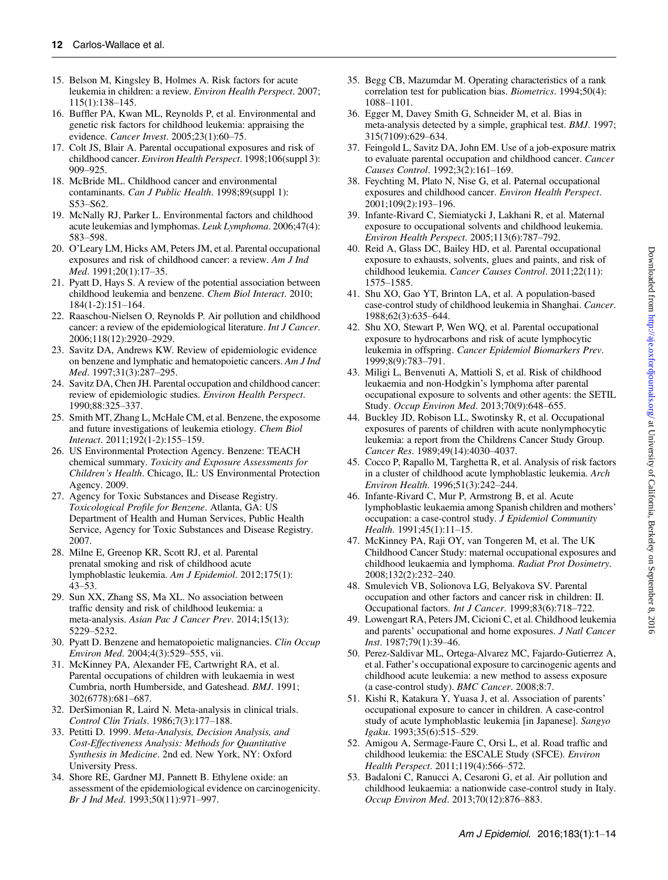- <span id="page-11-0"></span>15. Belson M, Kingsley B, Holmes A. Risk factors for acute leukemia in children: a review. Environ Health Perspect. 2007; 115(1):138–145.
- 16. Buffler PA, Kwan ML, Reynolds P, et al. Environmental and genetic risk factors for childhood leukemia: appraising the evidence. Cancer Invest. 2005;23(1):60–75.
- 17. Colt JS, Blair A. Parental occupational exposures and risk of childhood cancer. Environ Health Perspect. 1998;106(suppl 3): 909–925.
- 18. McBride ML. Childhood cancer and environmental contaminants. Can J Public Health. 1998;89(suppl 1): S53–S62.
- 19. McNally RJ, Parker L. Environmental factors and childhood acute leukemias and lymphomas. Leuk Lymphoma. 2006;47(4): 583–598.
- 20. O'Leary LM, Hicks AM, Peters JM, et al. Parental occupational exposures and risk of childhood cancer: a review. Am J Ind Med. 1991;20(1):17–35.
- 21. Pyatt D, Hays S. A review of the potential association between childhood leukemia and benzene. Chem Biol Interact. 2010; 184(1-2):151–164.
- 22. Raaschou-Nielsen O, Reynolds P. Air pollution and childhood cancer: a review of the epidemiological literature. Int J Cancer. 2006;118(12):2920–2929.
- 23. Savitz DA, Andrews KW. Review of epidemiologic evidence on benzene and lymphatic and hematopoietic cancers. Am J Ind Med. 1997;31(3):287–295.
- 24. Savitz DA, Chen JH. Parental occupation and childhood cancer: review of epidemiologic studies. Environ Health Perspect. 1990;88:325–337.
- 25. Smith MT, Zhang L, McHale CM, et al. Benzene, the exposome and future investigations of leukemia etiology. Chem Biol Interact. 2011;192(1-2):155–159.
- 26. US Environmental Protection Agency. Benzene: TEACH chemical summary. Toxicity and Exposure Assessments for Children's Health. Chicago, IL: US Environmental Protection Agency. 2009.
- 27. Agency for Toxic Substances and Disease Registry. Toxicological Profile for Benzene. Atlanta, GA: US Department of Health and Human Services, Public Health Service, Agency for Toxic Substances and Disease Registry. 2007.
- 28. Milne E, Greenop KR, Scott RJ, et al. Parental prenatal smoking and risk of childhood acute lymphoblastic leukemia. Am J Epidemiol. 2012;175(1): 43–53.
- 29. Sun XX, Zhang SS, Ma XL. No association between traffic density and risk of childhood leukemia: a meta-analysis. Asian Pac J Cancer Prev. 2014;15(13): 5229–5232.
- 30. Pyatt D. Benzene and hematopoietic malignancies. Clin Occup Environ Med. 2004;4(3):529–555, vii.
- 31. McKinney PA, Alexander FE, Cartwright RA, et al. Parental occupations of children with leukaemia in west Cumbria, north Humberside, and Gateshead. BMJ. 1991; 302(6778):681–687.
- 32. DerSimonian R, Laird N. Meta-analysis in clinical trials. Control Clin Trials. 1986;7(3):177–188.
- 33. Petitti D. 1999. Meta-Analysis, Decision Analysis, and Cost-Effectiveness Analysis: Methods for Quantitative Synthesis in Medicine. 2nd ed. New York, NY: Oxford University Press.
- 34. Shore RE, Gardner MJ, Pannett B. Ethylene oxide: an assessment of the epidemiological evidence on carcinogenicity. Br J Ind Med. 1993;50(11):971–997.
- 35. Begg CB, Mazumdar M. Operating characteristics of a rank correlation test for publication bias. Biometrics. 1994;50(4): 1088–1101.
- 36. Egger M, Davey Smith G, Schneider M, et al. Bias in meta-analysis detected by a simple, graphical test. BMJ. 1997; 315(7109):629–634.
- 37. Feingold L, Savitz DA, John EM. Use of a job-exposure matrix to evaluate parental occupation and childhood cancer. Cancer Causes Control. 1992;3(2):161–169.
- 38. Feychting M, Plato N, Nise G, et al. Paternal occupational exposures and childhood cancer. Environ Health Perspect. 2001;109(2):193–196.
- 39. Infante-Rivard C, Siemiatycki J, Lakhani R, et al. Maternal exposure to occupational solvents and childhood leukemia. Environ Health Perspect. 2005;113(6):787–792.
- 40. Reid A, Glass DC, Bailey HD, et al. Parental occupational exposure to exhausts, solvents, glues and paints, and risk of childhood leukemia. Cancer Causes Control. 2011;22(11): 1575–1585.
- 41. Shu XO, Gao YT, Brinton LA, et al. A population-based case-control study of childhood leukemia in Shanghai. Cancer. 1988;62(3):635–644.
- 42. Shu XO, Stewart P, Wen WQ, et al. Parental occupational exposure to hydrocarbons and risk of acute lymphocytic leukemia in offspring. Cancer Epidemiol Biomarkers Prev. 1999;8(9):783–791.
- 43. Miligi L, Benvenuti A, Mattioli S, et al. Risk of childhood leukaemia and non-Hodgkin's lymphoma after parental occupational exposure to solvents and other agents: the SETIL Study. Occup Environ Med. 2013;70(9):648–655.
- 44. Buckley JD, Robison LL, Swotinsky R, et al. Occupational exposures of parents of children with acute nonlymphocytic leukemia: a report from the Childrens Cancer Study Group. Cancer Res. 1989;49(14):4030–4037.
- 45. Cocco P, Rapallo M, Targhetta R, et al. Analysis of risk factors in a cluster of childhood acute lymphoblastic leukemia. Arch Environ Health. 1996;51(3):242–244.
- 46. Infante-Rivard C, Mur P, Armstrong B, et al. Acute lymphoblastic leukaemia among Spanish children and mothers' occupation: a case-control study. J Epidemiol Community Health. 1991;45(1):11–15.
- 47. McKinney PA, Raji OY, van Tongeren M, et al. The UK Childhood Cancer Study: maternal occupational exposures and childhood leukaemia and lymphoma. Radiat Prot Dosimetry. 2008;132(2):232–240.
- 48. Smulevich VB, Solionova LG, Belyakova SV. Parental occupation and other factors and cancer risk in children: II. Occupational factors. Int J Cancer. 1999;83(6):718–722.
- 49. Lowengart RA, Peters JM, Cicioni C, et al. Childhood leukemia and parents' occupational and home exposures. J Natl Cancer Inst. 1987;79(1):39–46.
- 50. Perez-Saldivar ML, Ortega-Alvarez MC, Fajardo-Gutierrez A, et al. Father's occupational exposure to carcinogenic agents and childhood acute leukemia: a new method to assess exposure (a case-control study). BMC Cancer. 2008;8:7.
- 51. Kishi R, Katakura Y, Yuasa J, et al. Association of parents' occupational exposure to cancer in children. A case-control study of acute lymphoblastic leukemia [in Japanese]. Sangyo Igaku. 1993;35(6):515–529.
- 52. Amigou A, Sermage-Faure C, Orsi L, et al. Road traffic and childhood leukemia: the ESCALE Study (SFCE). Environ Health Perspect. 2011;119(4):566–572.
- 53. Badaloni C, Ranucci A, Cesaroni G, et al. Air pollution and childhood leukaemia: a nationwide case-control study in Italy. Occup Environ Med. 2013;70(12):876–883.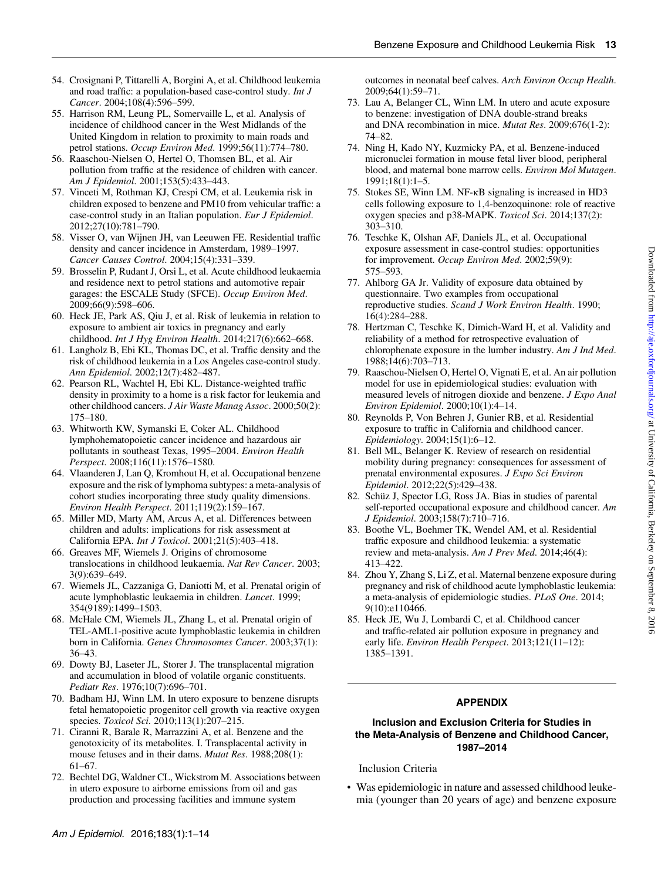- <span id="page-12-0"></span>54. Crosignani P, Tittarelli A, Borgini A, et al. Childhood leukemia and road traffic: a population-based case-control study. Int J Cancer. 2004;108(4):596–599.
- 55. Harrison RM, Leung PL, Somervaille L, et al. Analysis of incidence of childhood cancer in the West Midlands of the United Kingdom in relation to proximity to main roads and petrol stations. Occup Environ Med. 1999;56(11):774-780.
- 56. Raaschou-Nielsen O, Hertel O, Thomsen BL, et al. Air pollution from traffic at the residence of children with cancer. Am J Epidemiol. 2001;153(5):433–443.
- 57. Vinceti M, Rothman KJ, Crespi CM, et al. Leukemia risk in children exposed to benzene and PM10 from vehicular traffic: a case-control study in an Italian population. Eur J Epidemiol. 2012;27(10):781–790.
- 58. Visser O, van Wijnen JH, van Leeuwen FE. Residential traffic density and cancer incidence in Amsterdam, 1989–1997. Cancer Causes Control. 2004;15(4):331–339.
- 59. Brosselin P, Rudant J, Orsi L, et al. Acute childhood leukaemia and residence next to petrol stations and automotive repair garages: the ESCALE Study (SFCE). Occup Environ Med. 2009;66(9):598–606.
- 60. Heck JE, Park AS, Qiu J, et al. Risk of leukemia in relation to exposure to ambient air toxics in pregnancy and early childhood. Int J Hyg Environ Health. 2014;217(6):662-668.
- 61. Langholz B, Ebi KL, Thomas DC, et al. Traffic density and the risk of childhood leukemia in a Los Angeles case-control study. Ann Epidemiol. 2002;12(7):482–487.
- 62. Pearson RL, Wachtel H, Ebi KL. Distance-weighted traffic density in proximity to a home is a risk factor for leukemia and other childhood cancers. J Air Waste Manag Assoc. 2000;50(2): 175–180.
- 63. Whitworth KW, Symanski E, Coker AL. Childhood lymphohematopoietic cancer incidence and hazardous air pollutants in southeast Texas, 1995–2004. Environ Health Perspect. 2008;116(11):1576–1580.
- 64. Vlaanderen J, Lan Q, Kromhout H, et al. Occupational benzene exposure and the risk of lymphoma subtypes: a meta-analysis of cohort studies incorporating three study quality dimensions. Environ Health Perspect. 2011;119(2):159–167.
- 65. Miller MD, Marty AM, Arcus A, et al. Differences between children and adults: implications for risk assessment at California EPA. Int J Toxicol. 2001;21(5):403–418.
- 66. Greaves MF, Wiemels J. Origins of chromosome translocations in childhood leukaemia. Nat Rev Cancer. 2003; 3(9):639–649.
- 67. Wiemels JL, Cazzaniga G, Daniotti M, et al. Prenatal origin of acute lymphoblastic leukaemia in children. Lancet. 1999; 354(9189):1499–1503.
- 68. McHale CM, Wiemels JL, Zhang L, et al. Prenatal origin of TEL-AML1-positive acute lymphoblastic leukemia in children born in California. Genes Chromosomes Cancer. 2003;37(1): 36–43.
- 69. Dowty BJ, Laseter JL, Storer J. The transplacental migration and accumulation in blood of volatile organic constituents. Pediatr Res. 1976;10(7):696–701.
- 70. Badham HJ, Winn LM. In utero exposure to benzene disrupts fetal hematopoietic progenitor cell growth via reactive oxygen species. Toxicol Sci. 2010;113(1):207–215.
- 71. Ciranni R, Barale R, Marrazzini A, et al. Benzene and the genotoxicity of its metabolites. I. Transplacental activity in mouse fetuses and in their dams. Mutat Res. 1988;208(1): 61–67.
- 72. Bechtel DG, Waldner CL, Wickstrom M. Associations between in utero exposure to airborne emissions from oil and gas production and processing facilities and immune system

outcomes in neonatal beef calves. Arch Environ Occup Health. 2009;64(1):59–71.

- 73. Lau A, Belanger CL, Winn LM. In utero and acute exposure to benzene: investigation of DNA double-strand breaks and DNA recombination in mice. Mutat Res. 2009;676(1-2): 74–82.
- 74. Ning H, Kado NY, Kuzmicky PA, et al. Benzene-induced micronuclei formation in mouse fetal liver blood, peripheral blood, and maternal bone marrow cells. Environ Mol Mutagen. 1991;18(1):1–5.
- 75. Stokes SE, Winn LM. NF-κB signaling is increased in HD3 cells following exposure to 1,4-benzoquinone: role of reactive oxygen species and p38-MAPK. Toxicol Sci. 2014;137(2): 303–310.
- 76. Teschke K, Olshan AF, Daniels JL, et al. Occupational exposure assessment in case-control studies: opportunities for improvement. Occup Environ Med. 2002;59(9): 575–593.
- 77. Ahlborg GA Jr. Validity of exposure data obtained by questionnaire. Two examples from occupational reproductive studies. Scand J Work Environ Health. 1990; 16(4):284–288.
- 78. Hertzman C, Teschke K, Dimich-Ward H, et al. Validity and reliability of a method for retrospective evaluation of chlorophenate exposure in the lumber industry. Am J Ind Med. 1988;14(6):703–713.
- 79. Raaschou-Nielsen O, Hertel O, Vignati E, et al. An air pollution model for use in epidemiological studies: evaluation with measured levels of nitrogen dioxide and benzene. J Expo Anal Environ Epidemiol. 2000;10(1):4–14.
- 80. Reynolds P, Von Behren J, Gunier RB, et al. Residential exposure to traffic in California and childhood cancer. Epidemiology. 2004;15(1):6–12.
- 81. Bell ML, Belanger K. Review of research on residential mobility during pregnancy: consequences for assessment of prenatal environmental exposures. J Expo Sci Environ Epidemiol. 2012;22(5):429–438.
- 82. Schüz J, Spector LG, Ross JA. Bias in studies of parental self-reported occupational exposure and childhood cancer. Am J Epidemiol. 2003;158(7):710–716.
- 83. Boothe VL, Boehmer TK, Wendel AM, et al. Residential traffic exposure and childhood leukemia: a systematic review and meta-analysis. Am J Prev Med. 2014;46(4): 413–422.
- 84. Zhou Y, Zhang S, Li Z, et al. Maternal benzene exposure during pregnancy and risk of childhood acute lymphoblastic leukemia: a meta-analysis of epidemiologic studies. PLoS One. 2014; 9(10):e110466.
- 85. Heck JE, Wu J, Lombardi C, et al. Childhood cancer and traffic-related air pollution exposure in pregnancy and early life. Environ Health Perspect. 2013;121(11-12): 1385–1391.

# APPENDIX

## Inclusion and Exclusion Criteria for Studies in the Meta-Analysis of Benzene and Childhood Cancer, 1987–2014

# Inclusion Criteria

• Was epidemiologic in nature and assessed childhood leukemia (younger than 20 years of age) and benzene exposure